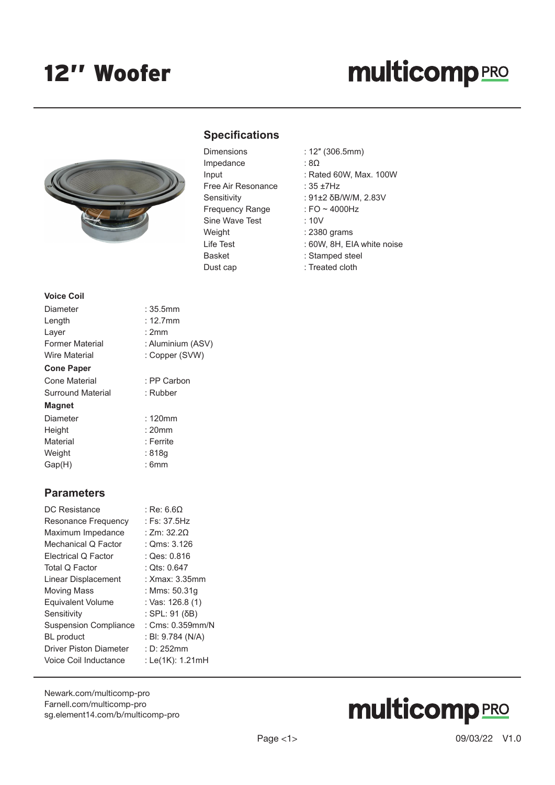# **multicomp**PRO



### **Specifications**

| Impedance<br>Input<br>Free Air Resonance<br>Sensitivity<br>Frequency Range<br>Sine Wave Test<br>Weight<br>Life Test<br>Basket | Dimensions |
|-------------------------------------------------------------------------------------------------------------------------------|------------|
|                                                                                                                               |            |
|                                                                                                                               |            |
|                                                                                                                               |            |
|                                                                                                                               |            |
|                                                                                                                               |            |
|                                                                                                                               |            |
|                                                                                                                               |            |
|                                                                                                                               |            |
|                                                                                                                               |            |
|                                                                                                                               | Dust cap   |

- Dimensions : 12″ (306.5mm)
	- $:8\Omega$
	- $:$  Rated 60W, Max. 100W
	- :  $35 + 7$ Hz
	- : 91±2 δB/W/M, 2.83V
	- : FO  $\sim$  4000Hz
	- $: 10V$
	- : 2380 grams
	- : 60W, 8H, EIA white noise
	- : Stamped steel
	- : Treated cloth

| <b>Voice Coil</b>    |                   |
|----------------------|-------------------|
| Diameter             | :35.5mm           |
| Length               | $: 12.7$ mm       |
| Layer                | : 2mm             |
| Former Material      | : Aluminium (ASV) |
| <b>Wire Material</b> | : Copper (SVW)    |
| <b>Cone Paper</b>    |                   |
| Cone Material        | : PP Carbon       |
| Surround Material    | : Rubber          |
| <b>Magnet</b>        |                   |
| Diameter             | $: 120$ mm        |
| Height               | $: 20$ mm         |
| Material             | : Ferrite         |
| Weight               | : 818q            |

Gap(H) : 6mm

#### **Parameters**

| DC Resistance                 | : Re: 6.60        |
|-------------------------------|-------------------|
| Resonance Frequency           | : Fs: 37.5Hz      |
| Maximum Impedance             | : Zm: $32.20$     |
| Mechanical Q Factor           | : $Qms: 3.126$    |
| Electrical Q Factor           | : Qes: 0.816      |
| Total Q Factor                | : Qts: 0.647      |
| Linear Displacement           | : Xmax: 3.35mm    |
| Moving Mass                   | : Mms: 50.31q     |
| <b>Equivalent Volume</b>      | : Vas: 126.8 (1)  |
| Sensitivity                   | : SPL: 91 (δB)    |
| <b>Suspension Compliance</b>  | : Cms: 0.359mm/N  |
| <b>BL</b> product             | : BI: 9.784 (N/A) |
| <b>Driver Piston Diameter</b> | : D: 252mm        |
| Voice Coil Inductance         | : Le(1K): 1.21mH  |
|                               |                   |

[Newark.com/multicomp-](https://www.newark.com/multicomp-pro)pro [Farnell.com/multicomp](https://www.farnell.com/multicomp-pro)-pro [sg.element14.com/b/multicomp-pro](https://sg.element14.com/b/multicomp-pro)

# **multicomp**PRO